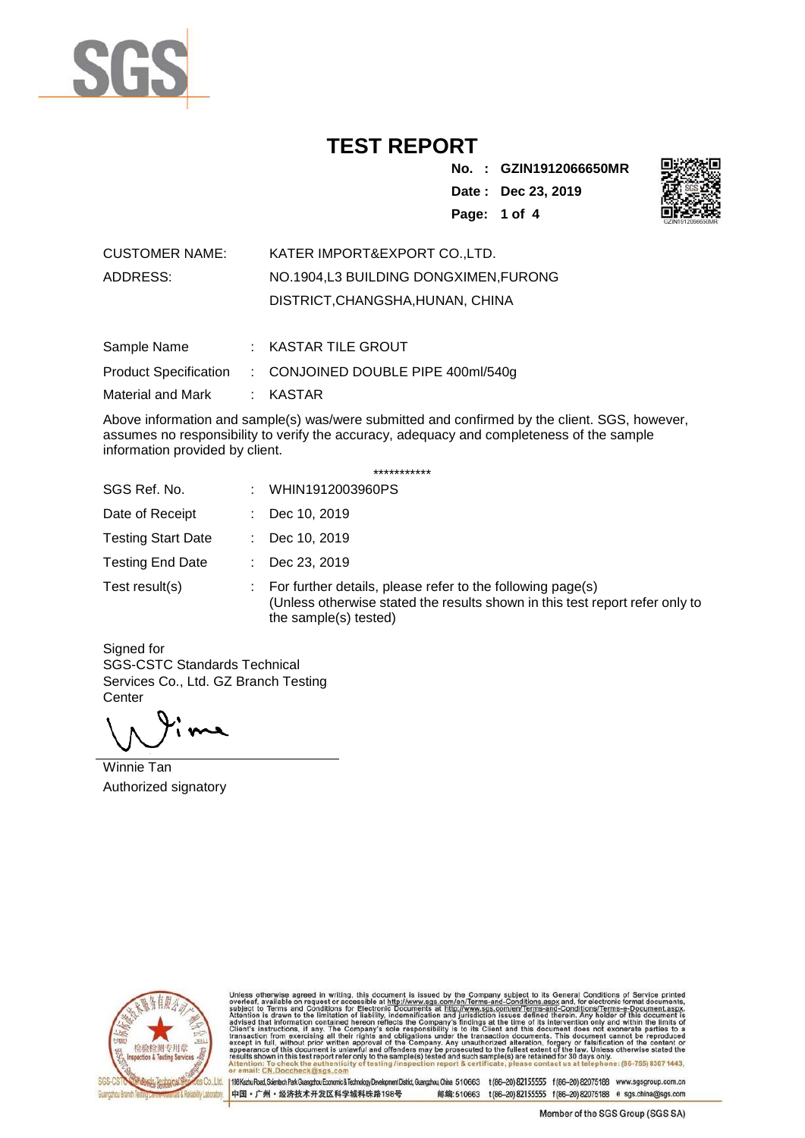

**No. : GZIN1912066650MR Date : Dec 23, 2019 Page: 1 of 4** 



| <b>CUSTOMER NAME:</b> | KATER IMPORT&EXPORT COLTD.           |
|-----------------------|--------------------------------------|
| ADDRESS:              | NO.1904.L3 BUILDING DONGXIMEN.FURONG |
|                       | DISTRICT, CHANGSHA, HUNAN, CHINA     |

| Sample Name       | $:$ KASTAR TILE GROUT                                    |
|-------------------|----------------------------------------------------------|
|                   | Product Specification : CONJOINED DOUBLE PIPE 400ml/540g |
| Material and Mark | : KASTAR                                                 |

Above information and sample(s) was/were submitted and confirmed by the client. SGS, however, assumes no responsibility to verify the accuracy, adequacy and completeness of the sample information provided by client.

|  | *********** |  |
|--|-------------|--|
|--|-------------|--|

| SGS Ref. No.              | ÷.             | WHIN1912003960PS                                                                                                                                                                 |
|---------------------------|----------------|----------------------------------------------------------------------------------------------------------------------------------------------------------------------------------|
| Date of Receipt           | $\mathbb{R}^n$ | Dec 10, 2019                                                                                                                                                                     |
| <b>Testing Start Date</b> | di l           | Dec 10, 2019                                                                                                                                                                     |
| <b>Testing End Date</b>   | ÷.             | Dec 23, 2019                                                                                                                                                                     |
| Test result(s)            |                | $\therefore$ For further details, please refer to the following page(s)<br>(Unless otherwise stated the results shown in this test report refer only to<br>the sample(s) tested) |

Signed for SGS-CSTC Standards Technical Services Co., Ltd. GZ Branch Testing **Center** 

Winnie Tan Authorized signatory



Unless otherwise agreed in writing, this document is issued by the Company subject to its General Conditions of Service printed overleaf, available on request or accessible at http://www.sgs.com/en/Terms-and-Conditions.as

Co.,Ltd. | 198 Kezhu Road, Scientech Park Guangzhou Economic & Technology Development District, Guangzhou, China 510663 t (86-20) 82155555 f (86-20) 82075188 www.sgsgroup.com.cn 中国·广州·经济技术开发区科学城科珠路198号 邮编:510663 t(86-20) 82155555 f(86-20) 82075188 e sgs.china@sgs.com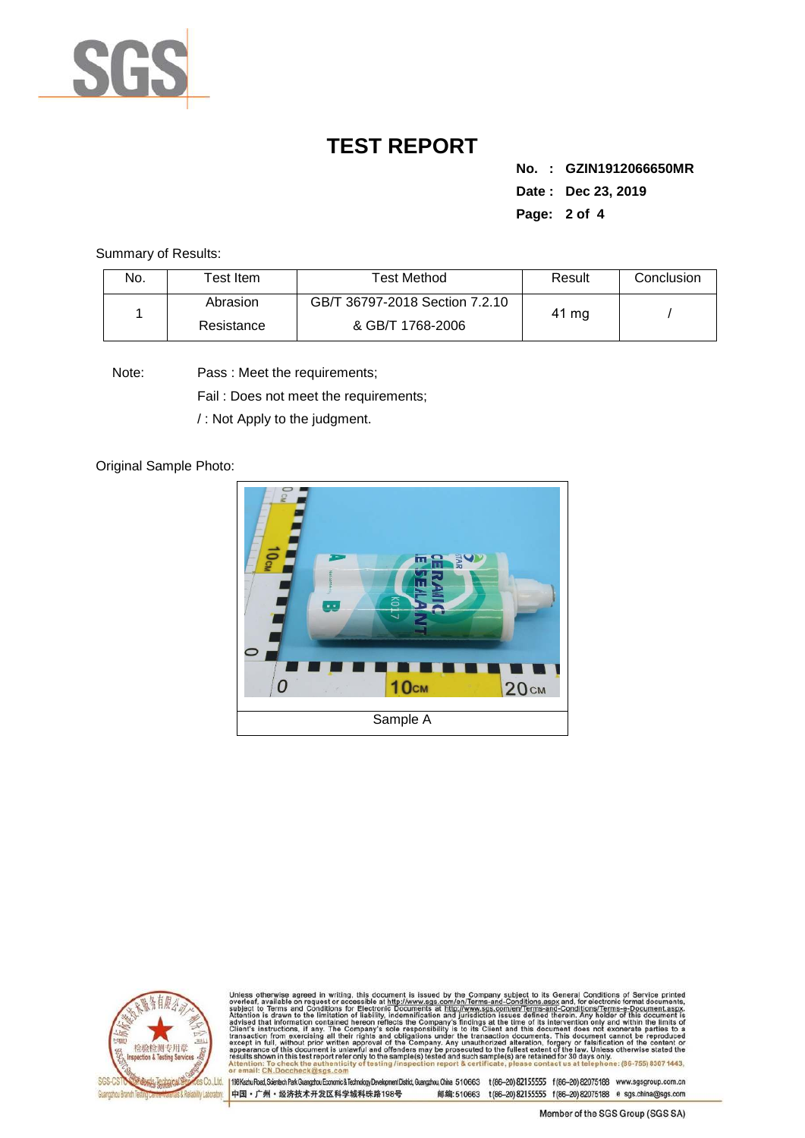

**No. : GZIN1912066650MR Date : Dec 23, 2019 Page: 2 of 4** 

Summary of Results:

| No. | $\mathsf{\tau}_{\mathsf{est}}$ Item . | Test Method                    | Result | Conclusion |
|-----|---------------------------------------|--------------------------------|--------|------------|
|     | Abrasion                              | GB/T 36797-2018 Section 7.2.10 | 41 mg  |            |
|     | Resistance                            | & GB/T 1768-2006               |        |            |

Note: Pass : Meet the requirements;

Fail : Does not meet the requirements;

/ : Not Apply to the judgment.

Original Sample Photo:





Unless otherwise agreed in writing, this document is issued by the Company subject to its General Conditions of Service printed overleaf, available on request or accessible at http://www.sgs.com/en/Terms-and-Conditions.asp : To check the authenti<br>CN.Doccheck@sgs.com

198 Kezhu Road, Scientech Park Guangzhou Economic & Technology Development District, Guangzhou, China 510663 t (86-20) 82155555 f (86-20) 82075188 www.sgsgroup.com.cn 中国·广州·经济技术开发区科学城科珠路198号 邮编:510663 t(86-20) 82155555 f(86-20) 82075188 e sgs.china@sgs.com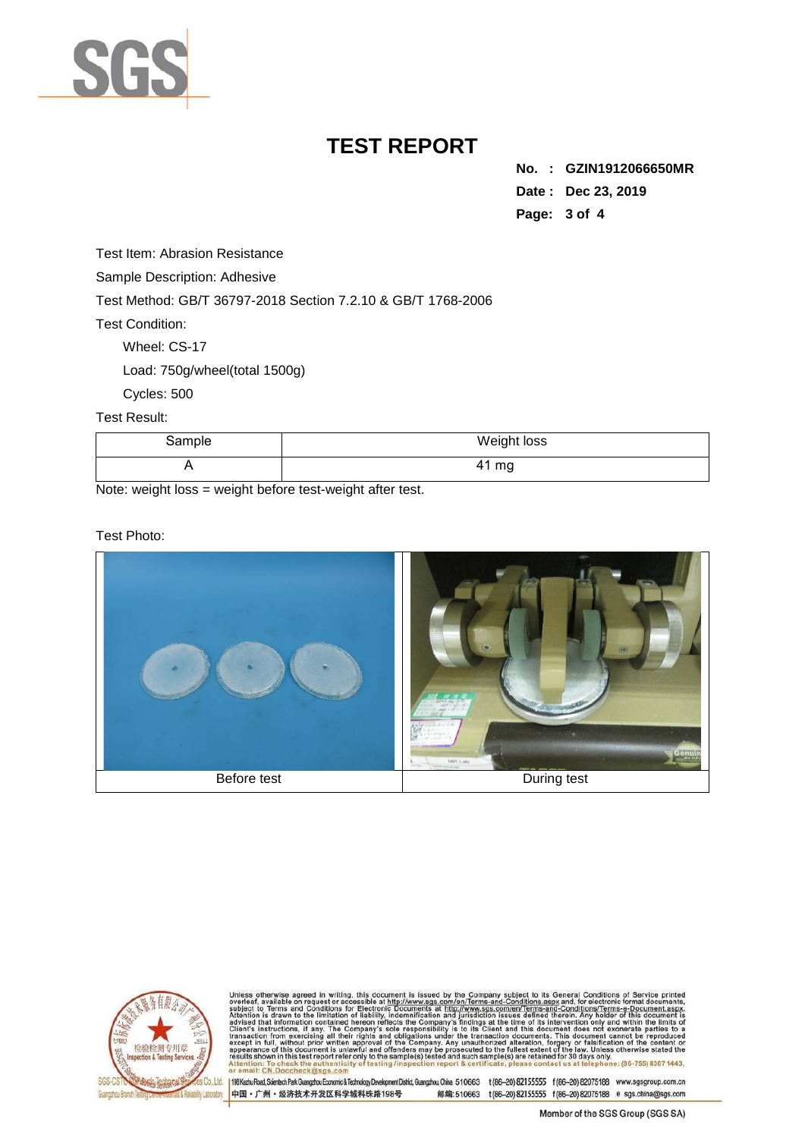

**No. : GZIN1912066650MR Date : Dec 23, 2019 Page: 3 of 4** 

Test Item: Abrasion Resistance

Sample Description: Adhesive

Test Method: GB/T 36797-2018 Section 7.2.10 & GB/T 1768-2006

Test Condition:

Wheel: CS-17

Load: 750g/wheel(total 1500g)

Cycles: 500

Test Result:

| Sample | Weight loss |
|--------|-------------|
|        | 41 mg       |

Note: weight loss = weight before test-weight after test.

Test Photo:





Unless otherwise agreed in writing, this document is issued by the Company subject to its General Conditions of Service printed overleaf, available on request or accessible at http://www.sgs.com/en/Terms-and-Conditions.as

198 Kezhu Road, Scientech Park Guangzhou Economic & Technology Development District, Guangzhou, China 510663 t (86-20) 82155555 f (86-20) 82075188 www.sgsgroup.com.cn 中国·广州·经济技术开发区科学城科珠路198号 邮编:510663 t(86-20) 82155555 f(86-20) 82075188 e sgs.china@sgs.com